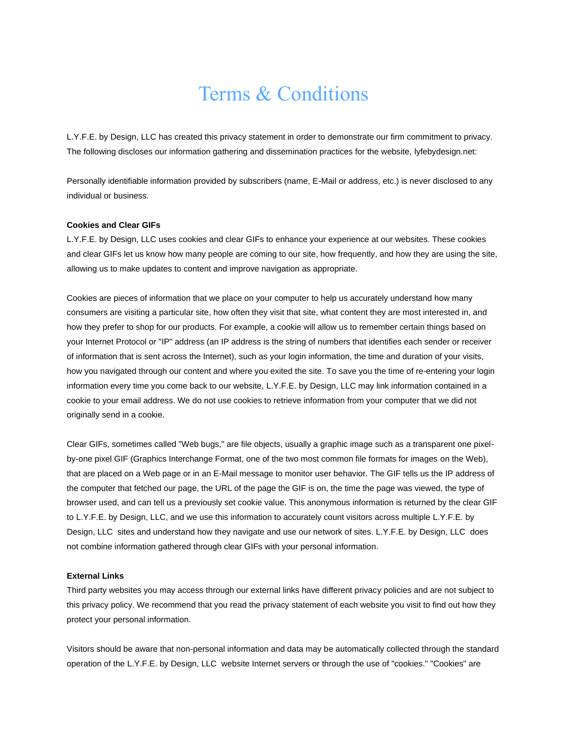# Terms & Conditions

L.Y.F.E. by Design, LLC has created this privacy statement in order to demonstrate our firm commitment to privacy. The following discloses our information gathering and dissemination practices for the website, lyfebydesign.net:

Personally identifiable information provided by subscribers (name, E-Mail or address, etc.) is never disclosed to any individual or business.

## **Cookies and Clear GIFs**

L.Y.F.E. by Design, LLC uses cookies and clear GIFs to enhance your experience at our websites. These cookies and clear GIFs let us know how many people are coming to our site, how frequently, and how they are using the site, allowing us to make updates to content and improve navigation as appropriate.

Cookies are pieces of information that we place on your computer to help us accurately understand how many consumers are visiting a particular site, how often they visit that site, what content they are most interested in, and how they prefer to shop for our products. For example, a cookie will allow us to remember certain things based on your Internet Protocol or "IP" address (an IP address is the string of numbers that identifies each sender or receiver of information that is sent across the Internet), such as your login information, the time and duration of your visits, how you navigated through our content and where you exited the site. To save you the time of re-entering your login information every time you come back to our website, L.Y.F.E. by Design, LLC may link information contained in a cookie to your email address. We do not use cookies to retrieve information from your computer that we did not originally send in a cookie.

Clear GIFs, sometimes called "Web bugs," are file objects, usually a graphic image such as a transparent one pixelby-one pixel GIF (Graphics Interchange Format, one of the two most common file formats for images on the Web), that are placed on a Web page or in an E-Mail message to monitor user behavior. The GIF tells us the IP address of the computer that fetched our page, the URL of the page the GIF is on, the time the page was viewed, the type of browser used, and can tell us a previously set cookie value. This anonymous information is returned by the clear GIF to L.Y.F.E. by Design, LLC, and we use this information to accurately count visitors across multiple L.Y.F.E. by Design, LLC sites and understand how they navigate and use our network of sites. L.Y.F.E. by Design, LLC does not combine information gathered through clear GIFs with your personal information.

#### **External Links**

Third party websites you may access through our external links have different privacy policies and are not subject to this privacy policy. We recommend that you read the privacy statement of each website you visit to find out how they protect your personal information.

Visitors should be aware that non-personal information and data may be automatically collected through the standard operation of the L.Y.F.E. by Design, LLC website Internet servers or through the use of "cookies." "Cookies" are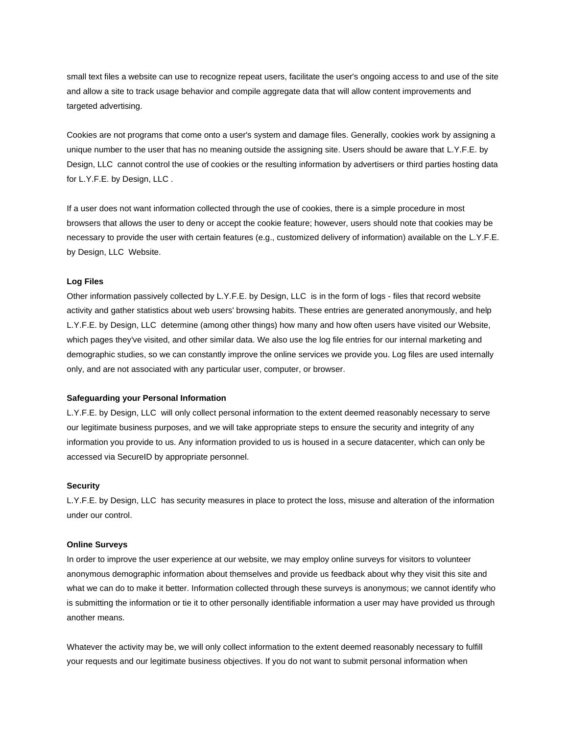small text files a website can use to recognize repeat users, facilitate the user's ongoing access to and use of the site and allow a site to track usage behavior and compile aggregate data that will allow content improvements and targeted advertising.

Cookies are not programs that come onto a user's system and damage files. Generally, cookies work by assigning a unique number to the user that has no meaning outside the assigning site. Users should be aware that L.Y.F.E. by Design, LLC cannot control the use of cookies or the resulting information by advertisers or third parties hosting data for L.Y.F.E. by Design, LLC .

If a user does not want information collected through the use of cookies, there is a simple procedure in most browsers that allows the user to deny or accept the cookie feature; however, users should note that cookies may be necessary to provide the user with certain features (e.g., customized delivery of information) available on the L.Y.F.E. by Design, LLC Website.

## **Log Files**

Other information passively collected by L.Y.F.E. by Design, LLC is in the form of logs - files that record website activity and gather statistics about web users' browsing habits. These entries are generated anonymously, and help L.Y.F.E. by Design, LLC determine (among other things) how many and how often users have visited our Website, which pages they've visited, and other similar data. We also use the log file entries for our internal marketing and demographic studies, so we can constantly improve the online services we provide you. Log files are used internally only, and are not associated with any particular user, computer, or browser.

#### **Safeguarding your Personal Information**

L.Y.F.E. by Design, LLC will only collect personal information to the extent deemed reasonably necessary to serve our legitimate business purposes, and we will take appropriate steps to ensure the security and integrity of any information you provide to us. Any information provided to us is housed in a secure datacenter, which can only be accessed via SecureID by appropriate personnel.

### **Security**

L.Y.F.E. by Design, LLC has security measures in place to protect the loss, misuse and alteration of the information under our control.

### **Online Surveys**

In order to improve the user experience at our website, we may employ online surveys for visitors to volunteer anonymous demographic information about themselves and provide us feedback about why they visit this site and what we can do to make it better. Information collected through these surveys is anonymous; we cannot identify who is submitting the information or tie it to other personally identifiable information a user may have provided us through another means.

Whatever the activity may be, we will only collect information to the extent deemed reasonably necessary to fulfill your requests and our legitimate business objectives. If you do not want to submit personal information when